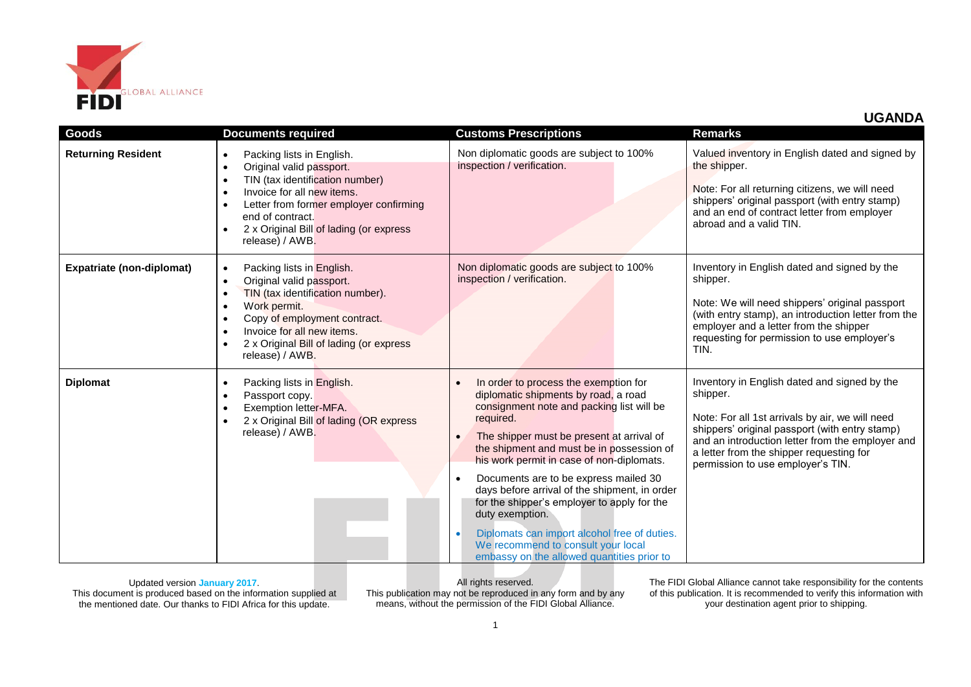

**UGANDA**

| Goods                            | <b>Documents required</b>                                                                                                                                                                                                                                                                                   | <b>Customs Prescriptions</b>                                                                                                                                                                                                                                                                                                                                                                                                                                                                                                                                                                | <b>Remarks</b>                                                                                                                                                                                                                                                                                     |  |
|----------------------------------|-------------------------------------------------------------------------------------------------------------------------------------------------------------------------------------------------------------------------------------------------------------------------------------------------------------|---------------------------------------------------------------------------------------------------------------------------------------------------------------------------------------------------------------------------------------------------------------------------------------------------------------------------------------------------------------------------------------------------------------------------------------------------------------------------------------------------------------------------------------------------------------------------------------------|----------------------------------------------------------------------------------------------------------------------------------------------------------------------------------------------------------------------------------------------------------------------------------------------------|--|
| <b>Returning Resident</b>        | Packing lists in English.<br>$\bullet$<br>Original valid passport.<br>$\bullet$<br>TIN (tax identification number)<br>$\bullet$<br>Invoice for all new items.<br>$\bullet$<br>Letter from former employer confirming<br>٠<br>end of contract.<br>2 x Original Bill of lading (or express<br>release) / AWB. | Non diplomatic goods are subject to 100%<br>inspection / verification.                                                                                                                                                                                                                                                                                                                                                                                                                                                                                                                      | Valued inventory in English dated and signed by<br>the shipper.<br>Note: For all returning citizens, we will need<br>shippers' original passport (with entry stamp)<br>and an end of contract letter from employer<br>abroad and a valid TIN.                                                      |  |
| <b>Expatriate (non-diplomat)</b> | Packing lists in English.<br>$\bullet$<br>Original valid passport.<br>$\bullet$<br>TIN (tax identification number).<br>$\bullet$<br>Work permit.<br>$\bullet$<br>Copy of employment contract.<br>٠<br>Invoice for all new items.<br>2 x Original Bill of lading (or express<br>release) / AWB.              | Non diplomatic goods are subject to 100%<br>inspection / verification.                                                                                                                                                                                                                                                                                                                                                                                                                                                                                                                      | Inventory in English dated and signed by the<br>shipper.<br>Note: We will need shippers' original passport<br>(with entry stamp), an introduction letter from the<br>employer and a letter from the shipper<br>requesting for permission to use employer's<br>TIN.                                 |  |
| <b>Diplomat</b>                  | Packing lists in English.<br>$\bullet$<br>Passport copy.<br>$\bullet$<br>Exemption letter-MFA.<br>2 x Original Bill of lading (OR express<br>release) / AWB.                                                                                                                                                | In order to process the exemption for<br>diplomatic shipments by road, a road<br>consignment note and packing list will be<br>required.<br>The shipper must be present at arrival of<br>the shipment and must be in possession of<br>his work permit in case of non-diplomats.<br>Documents are to be express mailed 30<br>days before arrival of the shipment, in order<br>for the shipper's employer to apply for the<br>duty exemption.<br>Diplomats can import alcohol free of duties.<br>$\bullet$<br>We recommend to consult your local<br>embassy on the allowed quantities prior to | Inventory in English dated and signed by the<br>shipper.<br>Note: For all 1st arrivals by air, we will need<br>shippers' original passport (with entry stamp)<br>and an introduction letter from the employer and<br>a letter from the shipper requesting for<br>permission to use employer's TIN. |  |

Updated version **January 2017**. This document is produced based on the information supplied at the mentioned date. Our thanks to FIDI Africa for this update.

All rights reserved. This publication may not be reproduced in any form and by any means, without the permission of the FIDI Global Alliance.

The FIDI Global Alliance cannot take responsibility for the contents of this publication. It is recommended to verify this information with your destination agent prior to shipping.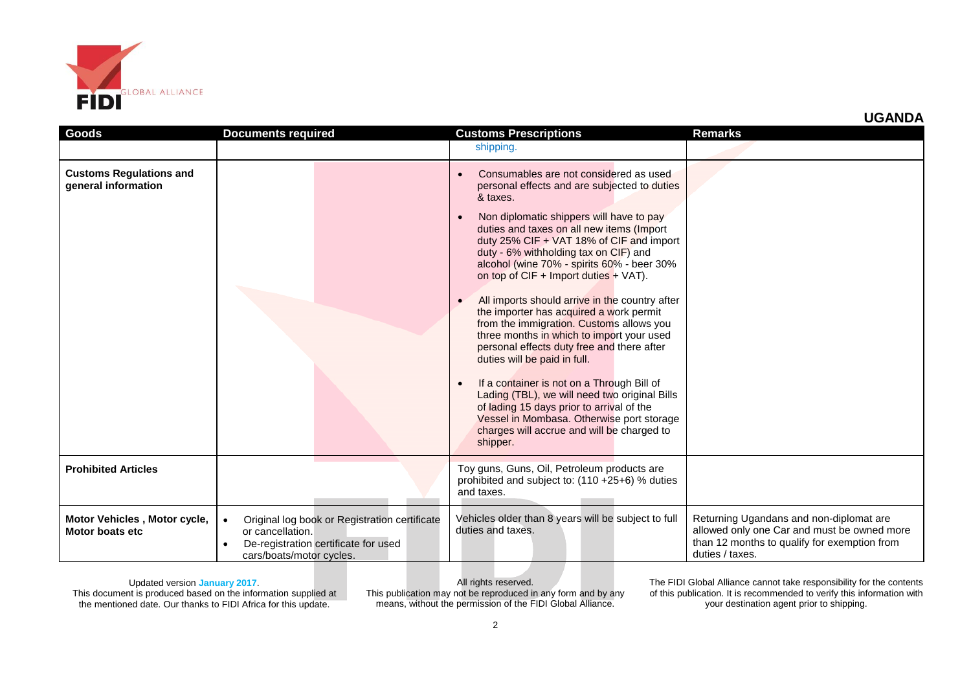

| <b>Goods</b>                                          | <b>Documents required</b>                                                                                                                          | <b>Customs Prescriptions</b>                                                                                                                                                                                                                                                                                                                                                                                                                                                                                                                                                                                                                                                                                                                                                                                                                                                                     | <b>Remarks</b>                                                                                                                                            |
|-------------------------------------------------------|----------------------------------------------------------------------------------------------------------------------------------------------------|--------------------------------------------------------------------------------------------------------------------------------------------------------------------------------------------------------------------------------------------------------------------------------------------------------------------------------------------------------------------------------------------------------------------------------------------------------------------------------------------------------------------------------------------------------------------------------------------------------------------------------------------------------------------------------------------------------------------------------------------------------------------------------------------------------------------------------------------------------------------------------------------------|-----------------------------------------------------------------------------------------------------------------------------------------------------------|
|                                                       |                                                                                                                                                    | shipping.                                                                                                                                                                                                                                                                                                                                                                                                                                                                                                                                                                                                                                                                                                                                                                                                                                                                                        |                                                                                                                                                           |
| <b>Customs Regulations and</b><br>general information |                                                                                                                                                    | Consumables are not considered as used<br>personal effects and are subjected to duties<br>& taxes.<br>Non diplomatic shippers will have to pay<br>duties and taxes on all new items (Import<br>duty 25% CIF + VAT 18% of CIF and import<br>duty - 6% withholding tax on CIF) and<br>alcohol (wine 70% - spirits 60% - beer 30%<br>on top of $CIF + Import$ duties + VAT).<br>All imports should arrive in the country after<br>the importer has acquired a work permit<br>from the immigration. Customs allows you<br>three months in which to import your used<br>personal effects duty free and there after<br>duties will be paid in full.<br>If a container is not on a Through Bill of<br>Lading (TBL), we will need two original Bills<br>of lading 15 days prior to arrival of the<br>Vessel in Mombasa. Otherwise port storage<br>charges will accrue and will be charged to<br>shipper. |                                                                                                                                                           |
| <b>Prohibited Articles</b>                            |                                                                                                                                                    | Toy guns, Guns, Oil, Petroleum products are<br>prohibited and subject to: (110 +25+6) % duties<br>and taxes.                                                                                                                                                                                                                                                                                                                                                                                                                                                                                                                                                                                                                                                                                                                                                                                     |                                                                                                                                                           |
| Motor Vehicles, Motor cycle,<br>Motor boats etc       | Original log book or Registration certificate<br>$\bullet$<br>or cancellation.<br>De-registration certificate for used<br>cars/boats/motor cycles. | Vehicles older than 8 years will be subject to full<br>duties and taxes.                                                                                                                                                                                                                                                                                                                                                                                                                                                                                                                                                                                                                                                                                                                                                                                                                         | Returning Ugandans and non-diplomat are<br>allowed only one Car and must be owned more<br>than 12 months to qualify for exemption from<br>duties / taxes. |

Updated version **January 2017**. This document is produced based on the information supplied at the mentioned date. Our thanks to FIDI Africa for this update.

All rights reserved.

This publication may not be reproduced in any form and by any means, without the permission of the FIDI Global Alliance.

The FIDI Global Alliance cannot take responsibility for the contents of this publication. It is recommended to verify this information with your destination agent prior to shipping.